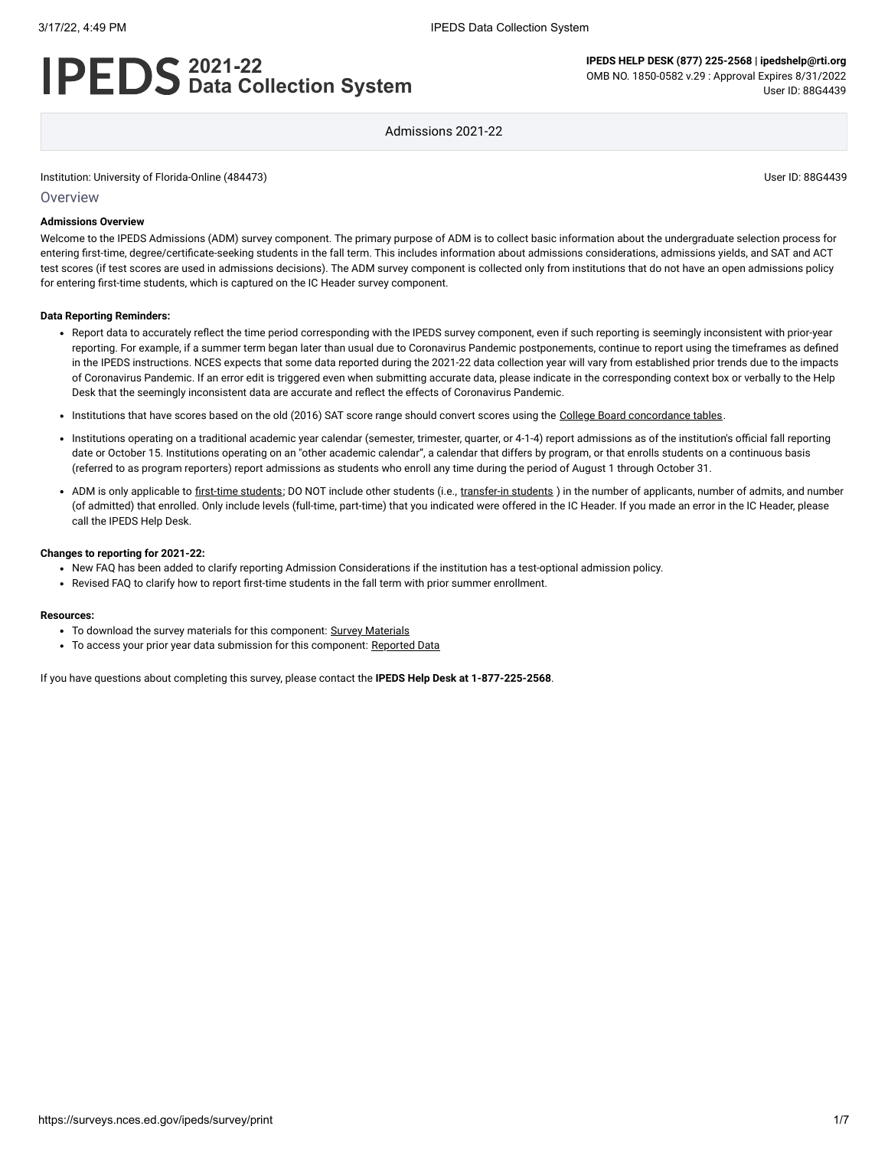# **2021-22 Data Collection System**

**IPEDS HELP DESK (877) 225-2568 | ipedshelp@rti.org** OMB NO. 1850-0582 v.29 : Approval Expires 8/31/2022 User ID: 88G4439

Admissions 2021-22

Institution: University of Florida-Online (484473) User ID: 88G4439

**Overview** 

#### **Admissions Overview**

Welcome to the IPEDS Admissions (ADM) survey component. The primary purpose of ADM is to collect basic information about the undergraduate selection process for entering first-time, degree/certificate-seeking students in the fall term. This includes information about admissions considerations, admissions yields, and SAT and ACT test scores (if test scores are used in admissions decisions). The ADM survey component is collected only from institutions that do not have an open admissions policy for entering first-time students, which is captured on the IC Header survey component.

#### **Data Reporting Reminders:**

- Report data to accurately reflect the time period corresponding with the IPEDS survey component, even if such reporting is seemingly inconsistent with prior-year reporting. For example, if a summer term began later than usual due to Coronavirus Pandemic postponements, continue to report using the timeframes as defined in the IPEDS instructions. NCES expects that some data reported during the 2021-22 data collection year will vary from established prior trends due to the impacts of Coronavirus Pandemic. If an error edit is triggered even when submitting accurate data, please indicate in the corresponding context box or verbally to the Help Desk that the seemingly inconsistent data are accurate and reflect the effects of Coronavirus Pandemic.
- . Institutions that have scores based on the old (2016) SAT score range should convert scores using the [College Board concordance tables](https://collegereadiness.collegeboard.org/educators/higher-ed/scoring-changes/concordance).
- Institutions operating on a traditional academic year calendar (semester, trimester, quarter, or 4-1-4) report admissions as of the institution's official fall reporting date or October 15. Institutions operating on an "other academic calendar", a calendar that differs by program, or that enrolls students on a continuous basis (referred to as program reporters) report admissions as students who enroll any time during the period of August 1 through October 31.
- ADM is only applicable to [first-time students](javascript:openglossary(241)); DO NOT include other students (i.e., [transfer-in students](javascript:openglossary(1087)) ) in the number of applicants, number of admits, and number (of admitted) that enrolled. Only include levels (full-time, part-time) that you indicated were offered in the IC Header. If you made an error in the IC Header, please call the IPEDS Help Desk.

#### **Changes to reporting for 2021-22:**

- New FAQ has been added to clarify reporting Admission Considerations if the institution has a test-optional admission policy.
- Revised FAQ to clarify how to report first-time students in the fall term with prior summer enrollment.

#### **Resources:**

- To download the survey materials for this component: Survey [Materials](https://surveys.nces.ed.gov/ipeds/public/survey-materials/index)
- To access your prior year data submission for this component: [Reported Data](javascript:openReportedData(484473, 14))

If you have questions about completing this survey, please contact the **IPEDS Help Desk at 1-877-225-2568**.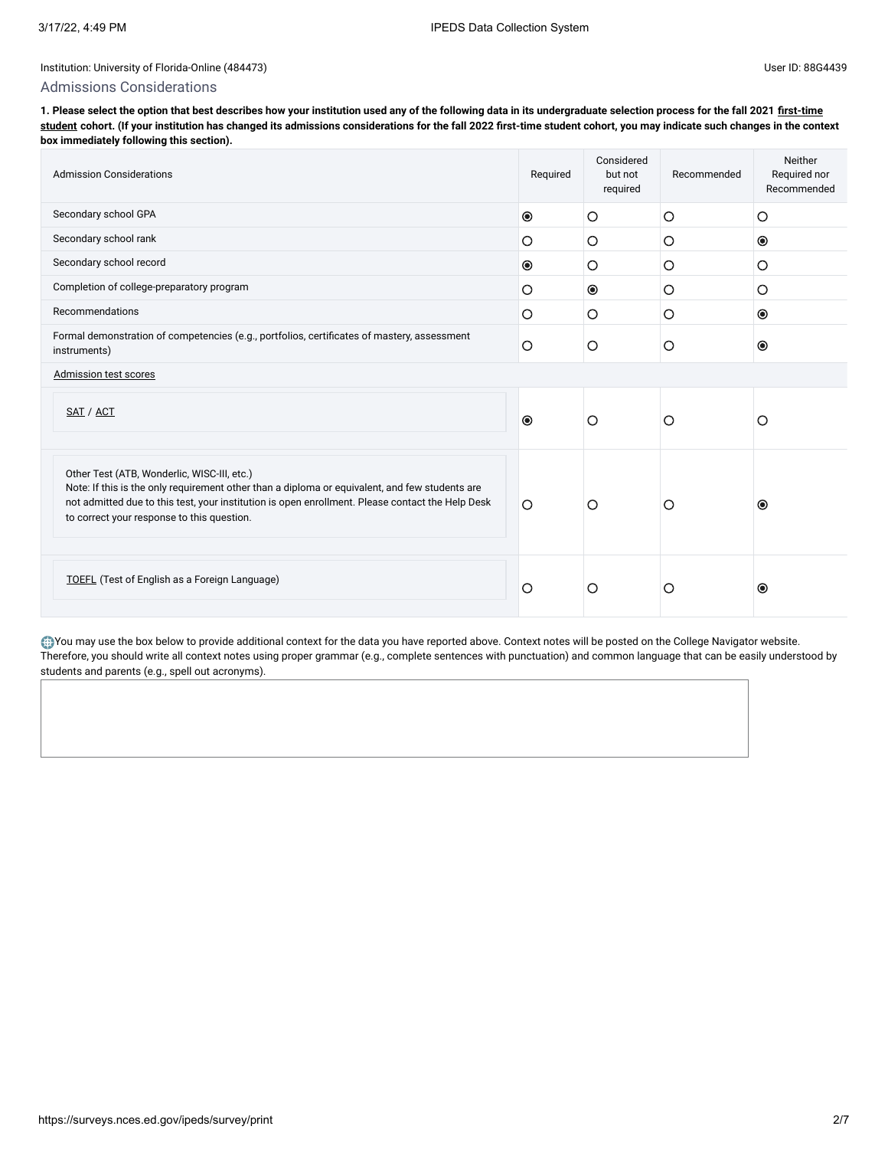#### Admissions Considerations

**[1. Please select the option that best describes how your institution used any of the following data in its undergraduate selection process for the fall 2021 first-time](javascript:openglossary(241)) student cohort. (If your institution has changed its admissions considerations for the fall 2022 first-time student cohort, you may indicate such changes in the context box immediately following this section).**

| <b>Admission Considerations</b>                                                                                                                                                                                                                                                                 | Required  | Considered<br>but not<br>required | Recommended | Neither<br>Required nor<br>Recommended |
|-------------------------------------------------------------------------------------------------------------------------------------------------------------------------------------------------------------------------------------------------------------------------------------------------|-----------|-----------------------------------|-------------|----------------------------------------|
| Secondary school GPA                                                                                                                                                                                                                                                                            | $\odot$   | O                                 | O           | O                                      |
| Secondary school rank                                                                                                                                                                                                                                                                           | $\circ$   | O                                 | O           | $\circledcirc$                         |
| Secondary school record                                                                                                                                                                                                                                                                         | $\bullet$ | O                                 | $\circ$     | O                                      |
| Completion of college-preparatory program                                                                                                                                                                                                                                                       | $\circ$   | $\circledcirc$                    | $\circ$     | O                                      |
| Recommendations                                                                                                                                                                                                                                                                                 | $\circ$   | $\circ$                           | $\circ$     | $\circledcirc$                         |
| Formal demonstration of competencies (e.g., portfolios, certificates of mastery, assessment<br>instruments)                                                                                                                                                                                     |           | O                                 | O           | $\circledcirc$                         |
| Admission test scores                                                                                                                                                                                                                                                                           |           |                                   |             |                                        |
| SAT / ACT                                                                                                                                                                                                                                                                                       | $\odot$   | $\circ$                           | О           | O                                      |
| Other Test (ATB, Wonderlic, WISC-III, etc.)<br>Note: If this is the only requirement other than a diploma or equivalent, and few students are<br>not admitted due to this test, your institution is open enrollment. Please contact the Help Desk<br>to correct your response to this question. | $\circ$   | O                                 | Ο           | $\odot$                                |
| <b>TOEFL</b> (Test of English as a Foreign Language)                                                                                                                                                                                                                                            | $\circ$   | O                                 | О           | $\odot$                                |

You may use the box below to provide additional context for the data you have reported above. Context notes will be posted on the College Navigator website. Therefore, you should write all context notes using proper grammar (e.g., complete sentences with punctuation) and common language that can be easily understood by students and parents (e.g., spell out acronyms).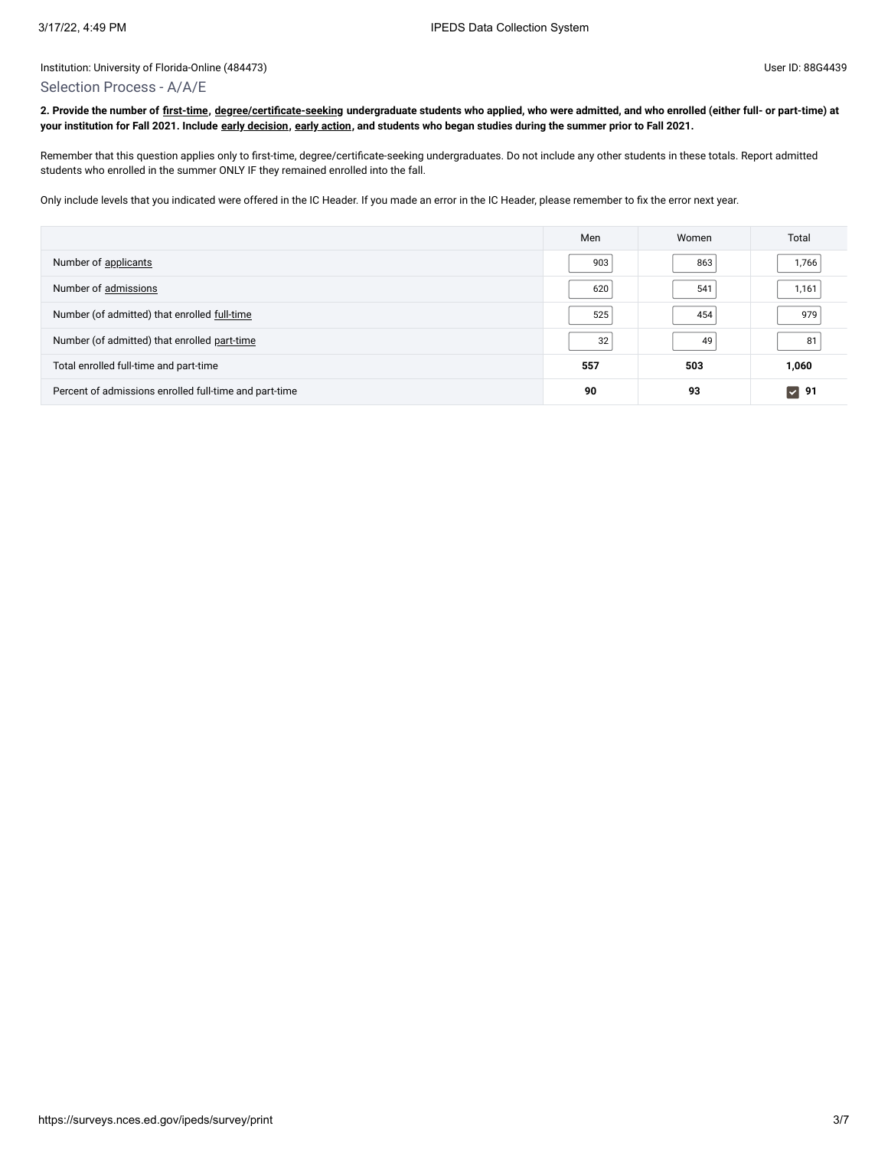#### Selection Process - A/A/E

**2. Provide the number of [first-time](javascript:openglossary(241)), [degree/certificate-seeking](javascript:openglossary(171)) undergraduate students who applied, who were admitted, and who enrolled (either full- or part-time) at your institution for Fall 2021. Include [early decision,](javascript:openglossary(705)) [early action](javascript:openglossary(703)), and students who began studies during the summer prior to Fall 2021.**

Remember that this question applies only to first-time, degree/certificate-seeking undergraduates. Do not include any other students in these totals. Report admitted students who enrolled in the summer ONLY IF they remained enrolled into the fall.

Only include levels that you indicated were offered in the IC Header. If you made an error in the IC Header, please remember to fix the error next year.

|                                                        | Men | Women | Total       |
|--------------------------------------------------------|-----|-------|-------------|
| Number of applicants                                   | 903 | 863   | 1,766       |
| Number of admissions                                   | 620 | 541   | 1,161       |
| Number (of admitted) that enrolled full-time           | 525 | 454   | 979         |
| Number (of admitted) that enrolled part-time           | 32  | 49    | 81          |
| Total enrolled full-time and part-time                 | 557 | 503   | 1,060       |
| Percent of admissions enrolled full-time and part-time | 90  | 93    | $\nabla$ 91 |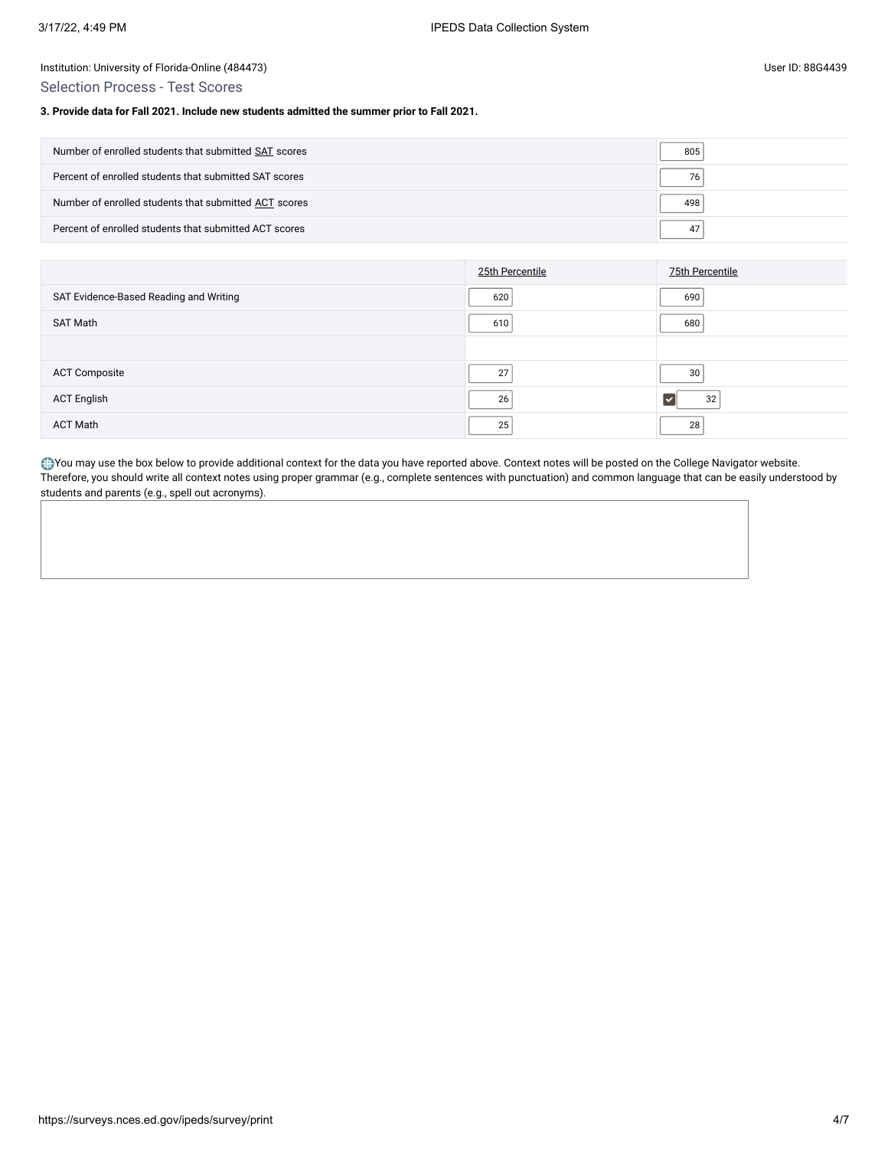Selection Process - Test Scores

#### **3. Provide data for Fall 2021. Include new students admitted the summer prior to Fall 2021.**

| Number of enrolled students that submitted SAT scores  | 805 |
|--------------------------------------------------------|-----|
| Percent of enrolled students that submitted SAT scores | 76  |
| Number of enrolled students that submitted ACT scores  | 498 |
| Percent of enrolled students that submitted ACT scores | 47  |

|                                        | 25th Percentile | 75th Percentile |
|----------------------------------------|-----------------|-----------------|
| SAT Evidence-Based Reading and Writing | 620             | 690             |
| SAT Math                               | 610             | 680             |
|                                        |                 |                 |
| <b>ACT Composite</b>                   | 27              | 30              |
| <b>ACT English</b>                     | 26              | 32              |
| <b>ACT Math</b>                        | 25              | 28              |

You may use the box below to provide additional context for the data you have reported above. Context notes will be posted on the College Navigator website. Therefore, you should write all context notes using proper grammar (e.g., complete sentences with punctuation) and common language that can be easily understood by students and parents (e.g., spell out acronyms).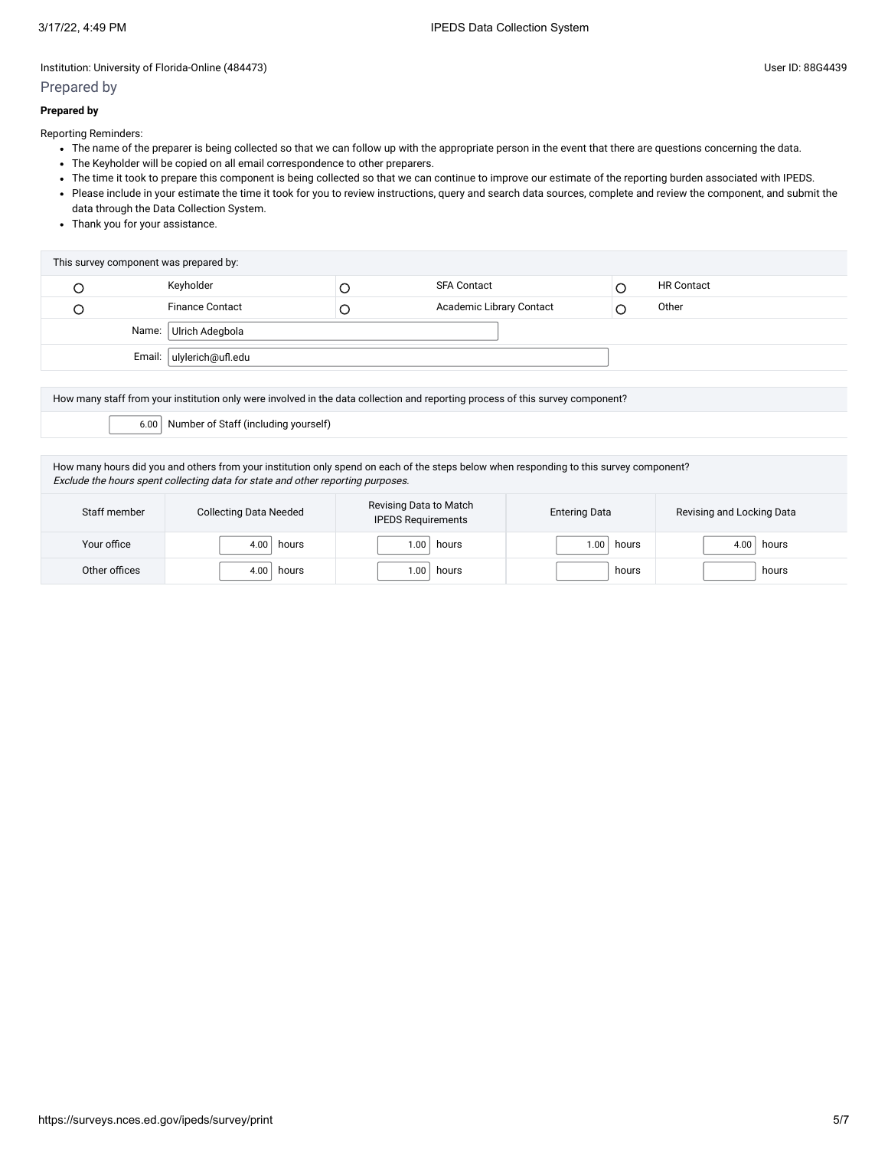## Prepared by

## **Prepared by**

Reporting Reminders:

- The name of the preparer is being collected so that we can follow up with the appropriate person in the event that there are questions concerning the data.
- The Keyholder will be copied on all email correspondence to other preparers.
- The time it took to prepare this component is being collected so that we can continue to improve our estimate of the reporting burden associated with IPEDS.
- Please include in your estimate the time it took for you to review instructions, query and search data sources, complete and review the component, and submit the data through the Data Collection System.
- Thank you for your assistance.

| This survey component was prepared by: |                          |   |                          |  |                   |  |
|----------------------------------------|--------------------------|---|--------------------------|--|-------------------|--|
|                                        | Keyholder                |   | <b>SFA Contact</b>       |  | <b>HR Contact</b> |  |
|                                        | <b>Finance Contact</b>   | Ć | Academic Library Contact |  | Other             |  |
| Name: Ulrich Adegbola                  |                          |   |                          |  |                   |  |
|                                        | Email: ulylerich@ufl.edu |   |                          |  |                   |  |

How many staff from your institution only were involved in the data collection and reporting process of this survey component? 6.00 Number of Staff (including yourself)

How many hours did you and others from your institution only spend on each of the steps below when responding to this survey component? Exclude the hours spent collecting data for state and other reporting purposes.

| Staff member  | <b>Collecting Data Needed</b> | Revising Data to Match<br><b>IPEDS Requirements</b> | <b>Entering Data</b> | Revising and Locking Data |
|---------------|-------------------------------|-----------------------------------------------------|----------------------|---------------------------|
| Your office   | 4.00<br>hours                 | 1.00.<br>hours                                      | hours<br>1.00        | hours                     |
| Other offices | 4.00<br>hours                 | 1.00<br>hours                                       | hours                | hours                     |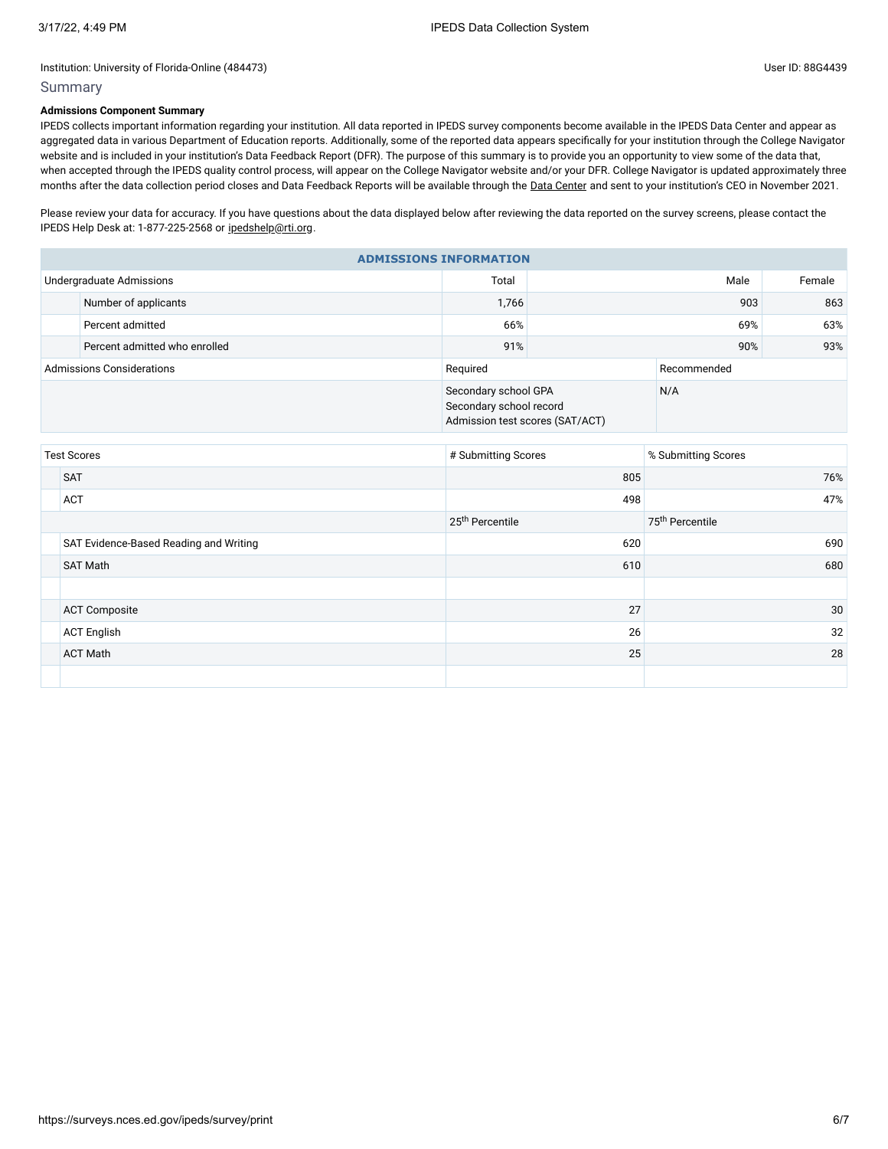## Summary

## **Admissions Component Summary**

IPEDS collects important information regarding your institution. All data reported in IPEDS survey components become available in the IPEDS Data Center and appear as aggregated data in various Department of Education reports. Additionally, some of the reported data appears specifically for your institution through the College Navigator website and is included in your institution's Data Feedback Report (DFR). The purpose of this summary is to provide you an opportunity to view some of the data that, when accepted through the IPEDS quality control process, will appear on the College Navigator website and/or your DFR. College Navigator is updated approximately three months after the data collection period closes and Data Feedback Reports will be available through the Data [Center](https://nces.ed.gov/ipeds/use-the-data) and sent to your institution's CEO in November 2021.

Please review your data for accuracy. If you have questions about the data displayed below after reviewing the data reported on the survey screens, please contact the IPEDS Help Desk at: 1-877-225-2568 or [ipedshelp@rti.org.](mailto:ipedshelp@rti.org)

| <b>ADMISSIONS INFORMATION</b>    |                               |                                                                                    |             |     |        |  |  |
|----------------------------------|-------------------------------|------------------------------------------------------------------------------------|-------------|-----|--------|--|--|
|                                  | Undergraduate Admissions      | Total                                                                              | Male        |     | Female |  |  |
|                                  | Number of applicants          | 1,766                                                                              | 903         |     | 863    |  |  |
|                                  | Percent admitted              | 66%                                                                                | 69%         |     | 63%    |  |  |
|                                  | Percent admitted who enrolled | 91%                                                                                |             | 93% |        |  |  |
| <b>Admissions Considerations</b> |                               | Required                                                                           | Recommended |     |        |  |  |
|                                  |                               | Secondary school GPA<br>Secondary school record<br>Admission test scores (SAT/ACT) |             | N/A |        |  |  |

| <b>Test Scores</b>                     | # Submitting Scores         | % Submitting Scores         |
|----------------------------------------|-----------------------------|-----------------------------|
| <b>SAT</b>                             | 805                         | 76%                         |
| <b>ACT</b>                             | 498                         | 47%                         |
|                                        | 25 <sup>th</sup> Percentile | 75 <sup>th</sup> Percentile |
| SAT Evidence-Based Reading and Writing | 620                         | 690                         |
| <b>SAT Math</b>                        | 610                         | 680                         |
|                                        |                             |                             |
| <b>ACT Composite</b>                   | 27                          | 30                          |
| <b>ACT English</b>                     | 26                          | 32                          |
| <b>ACT Math</b>                        | 25                          | 28                          |
|                                        |                             |                             |